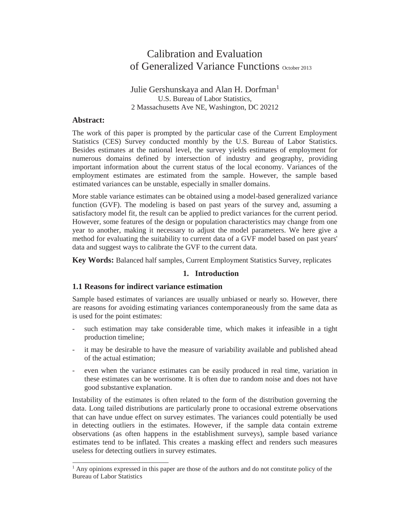# Calibration and Evaluation of Generalized Variance Functions October 2013

# Julie Gershunskaya and Alan H. Dorfman<sup>1</sup> U.S. Bureau of Labor Statistics, 2 Massachusetts Ave NE, Washington, DC 20212

#### **Abstract:**

The work of this paper is prompted by the particular case of the Current Employment Statistics (CES) Survey conducted monthly by the U.S. Bureau of Labor Statistics. Besides estimates at the national level, the survey yields estimates of employment for numerous domains defined by intersection of industry and geography, providing important information about the current status of the local economy. Variances of the employment estimates are estimated from the sample. However, the sample based estimated variances can be unstable, especially in smaller domains.

More stable variance estimates can be obtained using a model-based generalized variance function (GVF). The modeling is based on past years of the survey and, assuming a satisfactory model fit, the result can be applied to predict variances for the current period. However, some features of the design or population characteristics may change from one year to another, making it necessary to adjust the model parameters. We here give a method for evaluating the suitability to current data of a GVF model based on past years' data and suggest ways to calibrate the GVF to the current data.

**Key Words:** Balanced half samples, Current Employment Statistics Survey, replicates

## **1. Introduction**

## **1.1 Reasons for indirect variance estimation**

Sample based estimates of variances are usually unbiased or nearly so. However, there are reasons for avoiding estimating variances contemporaneously from the same data as is used for the point estimates:

- such estimation may take considerable time, which makes it infeasible in a tight production timeline;
- it may be desirable to have the measure of variability available and published ahead of the actual estimation;
- even when the variance estimates can be easily produced in real time, variation in these estimates can be worrisome. It is often due to random noise and does not have good substantive explanation.

Instability of the estimates is often related to the form of the distribution governing the data. Long tailed distributions are particularly prone to occasional extreme observations that can have undue effect on survey estimates. The variances could potentially be used in detecting outliers in the estimates. However, if the sample data contain extreme observations (as often happens in the establishment surveys), sample based variance estimates tend to be inflated. This creates a masking effect and renders such measures useless for detecting outliers in survey estimates.

<sup>&</sup>lt;sup>1</sup> Any opinions expressed in this paper are those of the authors and do not constitute policy of the Bureau of Labor Statistics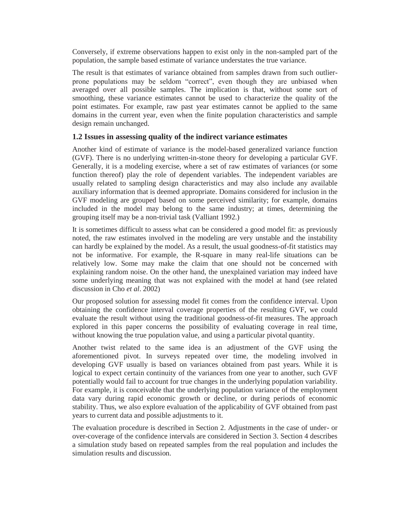Conversely, if extreme observations happen to exist only in the non-sampled part of the population, the sample based estimate of variance understates the true variance.

The result is that estimates of variance obtained from samples drawn from such outlierprone populations may be seldom "correct", even though they are unbiased when averaged over all possible samples. The implication is that, without some sort of smoothing, these variance estimates cannot be used to characterize the quality of the point estimates. For example, raw past year estimates cannot be applied to the same domains in the current year, even when the finite population characteristics and sample design remain unchanged.

# **1.2 Issues in assessing quality of the indirect variance estimates**

Another kind of estimate of variance is the model-based generalized variance function (GVF). There is no underlying written-in-stone theory for developing a particular GVF. Generally, it is a modeling exercise, where a set of raw estimates of variances (or some function thereof) play the role of dependent variables. The independent variables are usually related to sampling design characteristics and may also include any available auxiliary information that is deemed appropriate. Domains considered for inclusion in the GVF modeling are grouped based on some perceived similarity; for example, domains included in the model may belong to the same industry; at times, determining the grouping itself may be a non-trivial task (Valliant 1992.)

It is sometimes difficult to assess what can be considered a good model fit: as previously noted, the raw estimates involved in the modeling are very unstable and the instability can hardly be explained by the model. As a result, the usual goodness-of-fit statistics may not be informative. For example, the R-square in many real-life situations can be relatively low. Some may make the claim that one should not be concerned with explaining random noise. On the other hand, the unexplained variation may indeed have some underlying meaning that was not explained with the model at hand (see related discussion in Cho *et al*. 2002)

Our proposed solution for assessing model fit comes from the confidence interval. Upon obtaining the confidence interval coverage properties of the resulting GVF, we could evaluate the result without using the traditional goodness-of-fit measures. The approach explored in this paper concerns the possibility of evaluating coverage in real time, without knowing the true population value, and using a particular pivotal quantity.

Another twist related to the same idea is an adjustment of the GVF using the aforementioned pivot. In surveys repeated over time, the modeling involved in developing GVF usually is based on variances obtained from past years. While it is logical to expect certain continuity of the variances from one year to another, such GVF potentially would fail to account for true changes in the underlying population variability. For example, it is conceivable that the underlying population variance of the employment data vary during rapid economic growth or decline, or during periods of economic stability. Thus, we also explore evaluation of the applicability of GVF obtained from past years to current data and possible adjustments to it.

The evaluation procedure is described in Section 2. Adjustments in the case of under- or over-coverage of the confidence intervals are considered in Section 3. Section 4 describes a simulation study based on repeated samples from the real population and includes the simulation results and discussion.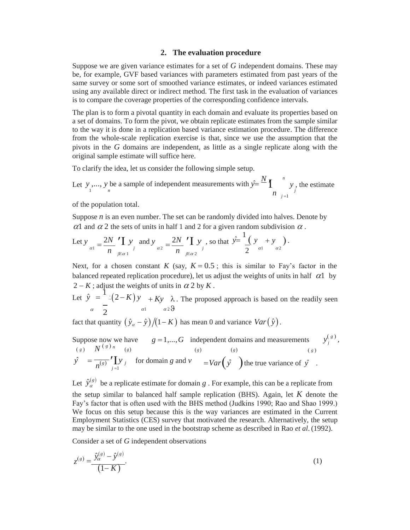#### **2. The evaluation procedure**

Suppose we are given variance estimates for a set of *G* independent domains. These may be, for example, GVF based variances with parameters estimated from past years of the same survey or some sort of smoothed variance estimates, or indeed variances estimated using any available direct or indirect method. The first task in the evaluation of variances is to compare the coverage properties of the corresponding confidence intervals.

The plan is to form a pivotal quantity in each domain and evaluate its properties based on a set of domains. To form the pivot, we obtain replicate estimates from the sample similar to the way it is done in a replication based variance estimation procedure. The difference from the whole-scale replication exercise is that, since we use the assumption that the pivots in the *G* domains are independent, as little as a single replicate along with the original sample estimate will suffice here.

To clarify the idea, let us consider the following simple setup.

Let  $y$ ,...,  $y$  be a sample of independent measurements with  $\hat{y} = \frac{N}{n} \prod_{\substack{i=1 \ i \neq j}}^n y$ , the estimate  $j = 1$ 

of the population total.

Suppose  $n$  is an even number. The set can be randomly divided into halves. Denote by  $\alpha$ 1 and  $\alpha$  2 the sets of units in half 1 and 2 for a given random subdivision  $\alpha$ .

Let 
$$
y_{\alpha 1} = \frac{2N}{n} \int_{j \to \alpha 1}^{n} \int_{j}^{n} y_{\alpha 2} d\theta \, dy_{\alpha 2} = \frac{2N}{n} \int_{j \to \alpha 2}^{n} \int_{j}^{n} y_{\alpha 2} d\theta \, d\theta \, d\theta \, d\theta \, d\theta \, d\theta \, d\theta \, d\theta
$$

Next, for a chosen constant *K* (say,  $K = 0.5$ ; this is similar to Fay's factor in the balanced repeated replication procedure), let us adjust the weights of units in half  $\alpha$ 1 by  $2 - K$ ; adjust the weights of units in  $\alpha$  2 by K.

Let  $\hat{y} = \begin{bmatrix} 1 \\ (2-K)y + Ky \lambda \end{bmatrix}$ . The proposed approach is based on the readily seen  $\alpha$   $\overline{2}$   $\alpha$ 1  $\alpha$ 2 $\vartheta$ 

fact that quantity  $(\hat{y}_\alpha - \hat{y})/(1 - K)$  has mean 0 and variance  $Var(\hat{y})$ .

Suppose now we have 
$$
g = 1,...,G
$$
 independent domains and measurements  $y_j^{(g)}$ ,  
\n
$$
\hat{y} = \frac{N^{(g)}n}{n^{(g)}} \int_{j=1}^{(g)} y_j
$$
\nfor domain g and  $v = Var(y)$  the true variance of  $\hat{y}$ .

Let  $\hat{y}_{\alpha}^{(s)}$  be a replicate estimate for domain *g*. For example, this can be a replicate from the setup similar to balanced half sample replication (BHS). Again, let *K* denote the Fay's factor that is often used with the BHS method (Judkins 1990; Rao and Shao 1999.) We focus on this setup because this is the way variances are estimated in the Current Employment Statistics (CES) survey that motivated the research. Alternatively, the setup may be similar to the one used in the bootstrap scheme as described in Rao *et al*. (1992).

Consider a set of *G* independent observations

$$
z^{(s)} = \frac{\hat{y}_{\alpha}^{(s)} - \hat{y}^{(s)}}{(1 - K)}.
$$
 (1)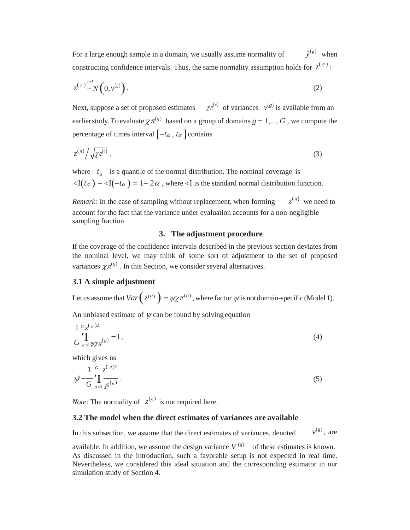For a large enough sample in a domain, we usually assume normality of  $\hat{v}^{(g)}$  when constructing confidence intervals. Thus, the same normality assumption holds for  $z^{(g)}$ :

$$
z^{(s)} \sim N\left(0, v^{(s)}\right). \tag{2}
$$

Next, suppose a set of proposed estimates  $\chi \pi^{(g)}$  of variances  $v^{(g)}$  is available from an earlier study. To evaluate  $\chi \pi^{(g)}$  based on a group of domains  $g = 1,..., G$  , we compute the percentage of times interval  $[-t_\alpha, t_\alpha]$  contains

$$
z^{(s)}\big/\sqrt{\chi\pi^{(s)}}\,,\tag{3}
$$

where  $t_a$  is a quantile of the normal distribution. The nominal coverage is  $\langle I(t_\alpha) - I(t_\alpha) \rangle = 1 - 2\alpha$ , where  $\langle I \rangle$  is the standard normal distribution function.

*Remark:* In the case of sampling without replacement, when forming  $z^{(g)}$  we need to account for the fact that the variance under evaluation accounts for a non-negligible sampling fraction.

#### **3. The adjustment procedure**

If the coverage of the confidence intervals described in the previous section deviates from the nominal level, we may think of some sort of adjustment to the set of proposed variances  $\chi \pi^{(g)}$ . In this Section, we consider several alternatives.

#### **3.1 A simple adjustment**

Let us assume that  $Var(z^{(g)}) = \psi \chi \pi^{(g)}$ , where factor  $\psi$  is not domain-specific (Model 1).

An unbiased estimate of  $\psi$  can be found by solving equation

$$
\frac{1}{G} \sum_{s=1}^{G} \sum_{\psi \chi \pi^{(s)}}^{(s)2} = 1, \tag{4}
$$

which gives us

 $\sqrt{2}$ 

$$
\psi = \frac{1}{G} \sum_{g=1}^{G} \sum_{\chi \neq 0}^{g} \frac{z^{(g)2}}{g(s)}.
$$
\n(5)

*Note*: The normality of  $z^{(g)}$  is not required here.

#### **3.2 The model when the direct estimates of variances are available**

In this subsection, we assume that the direct estimates of variances, denoted  $(g)$ , are

available. In addition, we assume the design variance  $V^{(g)}$  of these estimates is known. As discussed in the introduction, such a favorable setup is not expected in real time. Nevertheless, we considered this ideal situation and the corresponding estimator in our simulation study of Section 4.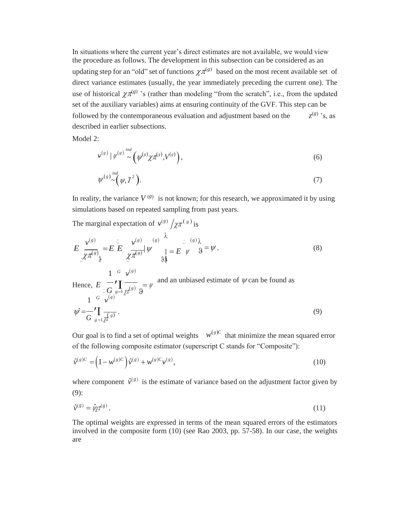In situations where the current year's direct estimates are not available, we would view the procedure as follows. The development in this subsection can be considered as an updating step for an "old" set of functions  $\chi \pi^{(g)}$  based on the most recent available set of direct variance estimates (usually, the year immediately preceding the current one). The use of historical  $\chi \pi^{(g)}$  's (rather than modeling "from the scratch", i.e., from the updated set of the auxiliary variables) aims at ensuring continuity of the GVF. This step can be followed by the contemporaneous evaluation and adjustment based on the described in earlier subsections.  $z^{(g)}$  's, as

Model 2:

$$
\nu^{(s)} | \psi^{(s)} \sim \left( \psi^{(s)} \chi \pi^{(s)}, V^{(s)} \right), \tag{6}
$$

$$
\psi^{(g)} \sim \left(\psi, \mathbf{I}^2\right). \tag{7}
$$

In reality, the variance  $V^{(g)}$  is not known; for this research, we approximated it by using simulations based on repeated sampling from past years.

The marginal expectation of  $v^{(g)} / \chi \pi^{(g)}$  is

$$
E \frac{\nu^{(s)}}{\mathcal{X} \pi^{(s)}} = E \frac{\nu^{(s)}}{\mathcal{X} \pi^{(s)}} |\psi^{(s)}| \overset{(s)}{=} E \psi^{(s)} \frac{\nu^{(s)}}{\nu^{(s)}} = E \psi^{(s)} \frac{\nu^{(s)}}{\nu^{(s)}} = E \psi^{(s)} \frac{\nu^{(s)}}{\nu^{(s)}} = \psi
$$
 (8)

Hence, 
$$
E \underset{\text{if } \theta \text{ is odd}}{\sim} \prod_{\substack{s \text{if } s \text{ is odd}} \text{if } s \text{ is odd}} \frac{1}{s} \int_{\mathcal{F}} \frac{1}{s} \int_{\mathcal{F}} \frac{1}{s} \int_{\mathcal{F}} \frac{1}{s} \int_{\mathcal{F}} \frac{1}{s} \int_{\mathcal{F}} \frac{1}{s} \int_{\mathcal{F}} \frac{1}{s} \int_{\mathcal{F}} \frac{1}{s} \int_{\mathcal{F}} \frac{1}{s} \int_{\mathcal{F}} \frac{1}{s} \int_{\mathcal{F}} \frac{1}{s} \int_{\mathcal{F}} \frac{1}{s} \int_{\mathcal{F}} \frac{1}{s} \int_{\mathcal{F}} \frac{1}{s} \int_{\mathcal{F}} \frac{1}{s} \int_{\mathcal{F}} \frac{1}{s} \int_{\mathcal{F}} \frac{1}{s} \int_{\mathcal{F}} \frac{1}{s} \int_{\mathcal{F}} \frac{1}{s} \int_{\mathcal{F}} \frac{1}{s} \int_{\mathcal{F}} \frac{1}{s} \int_{\mathcal{F}} \frac{1}{s} \int_{\mathcal{F}} \frac{1}{s} \int_{\mathcal{F}} \frac{1}{s} \int_{\mathcal{F}} \frac{1}{s} \int_{\mathcal{F}} \frac{1}{s} \int_{\mathcal{F}} \frac{1}{s} \int_{\mathcal{F}} \frac{1}{s} \int_{\mathcal{F}} \frac{1}{s} \int_{\mathcal{F}} \frac{1}{s} \int_{\mathcal{F}} \frac{1}{s} \int_{\mathcal{F}} \frac{1}{s} \int_{\mathcal{F}} \frac{1}{s} \int_{\mathcal{F}} \frac{1}{s} \int_{\mathcal{F}} \frac{1}{s} \int_{\mathcal{F}} \frac{1}{s} \int_{\mathcal{F}} \frac{1}{s} \int_{\mathcal{F}} \frac{1}{s} \int_{\mathcal{F}} \frac{1}{s} \int_{\mathcal{F}} \frac{1}{s} \int_{\mathcal{F}} \frac{1}{s} \int_{\mathcal{F}} \frac{1}{s} \int_{\mathcal{F}} \frac{1}{s} \int_{\mathcal{F}} \frac{1}{s} \int_{\mathcal{F}} \frac{1}{
$$

Our goal is to find a set of optimal weights  $w^{(g)C}$  that minimize the mean squared error of the following composite estimator (superscript C stands for "Composite"):

$$
\hat{\nu}^{(g)C} = (1 - w^{(g)C}) \hat{\nu}^{(g)} + w^{(g)C} \nu^{(g)},
$$
\n(10)

where component  $\hat{v}^{(g)}$  is the estimate of variance based on the adjustment factor given by (9):

$$
\hat{\nu}^{(g)} = \hat{\psi} \hat{\chi}^{(g)} \,. \tag{11}
$$

The optimal weights are expressed in terms of the mean squared errors of the estimators involved in the composite form (10) (see Rao 2003, pp. 57-58). In our case, the weights are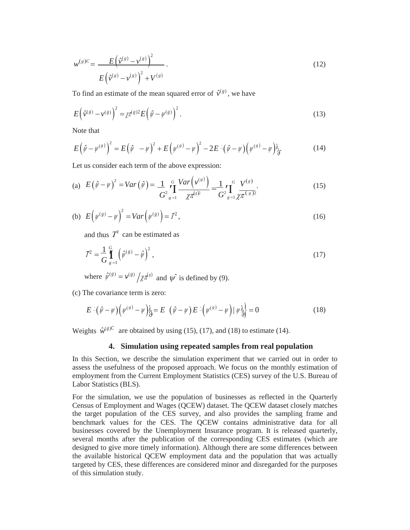$$
w^{(s)c} = \frac{E(\hat{v}^{(s)} - v^{(s)})^2}{E(\hat{v}^{(s)} - v^{(s)})^2 + V^{(s)}}.
$$
\n(12)

To find an estimate of the mean squared error of  $\hat{v}^{(g)}$ , we have

$$
E(\hat{\mathbf{v}}^{(s)} - \mathbf{v}^{(s)})^2 = \chi \pi^{(s)2} E(\hat{\mathbf{v}} - \mathbf{v}^{(s)})^2.
$$
 (13)

Note that

$$
E(\hat{\psi} - \psi^{(s)})^2 = E(\hat{\psi} - \psi)^2 + E(\psi^{(s)} - \psi)^2 - 2E \cdot (\hat{\psi} - \psi)(\psi^{(s)} - \psi)^2_{\hat{y}}.
$$
 (14)

Let us consider each term of the above expression:

(a) 
$$
E(\hat{\psi} - \psi)^2 = Var(\hat{\psi}) = \frac{1}{G^2} \sum_{s=1}^{G} \frac{Var(\psi^{(s)})}{\chi \pi^{(s)^2}} = \frac{1}{G^2} \sum_{s=1}^{G} \frac{V^{(s)}}{\chi \pi^{(s)^2}}.
$$
 (15)

(b) 
$$
E(\psi^{(g)} - \psi)^2 = Var(\psi^{(g)}) = T^2,
$$
 (16)

and thus  $T^2$  can be estimated as

$$
\hat{\mathcal{I}}^2 = \frac{1}{G} \int_{g=1}^{G} \left( \hat{\psi}^{(g)} - \hat{\psi} \right)^2, \tag{17}
$$

where  $\hat{\psi}^{(g)} = \nu^{(g)} / \chi \pi^{(g)}$  and  $\hat{\psi}$  is defined by (9).

(c) The covariance term is zero:

$$
E\left[\left(\hat{\psi} - \psi\right)\left(\psi^{(s)} - \psi\right)\right]_S = E\left[\left(\hat{\psi} - \psi\right)E\left[\left(\psi^{(s)} - \psi\right)\right]\psi\right]_S = 0\tag{18}
$$

Weights  $\hat{w}^{(g)C}$  are obtained by using (15), (17), and (18) to estimate (14).

#### **4. Simulation using repeated samples from real population**

In this Section, we describe the simulation experiment that we carried out in order to assess the usefulness of the proposed approach. We focus on the monthly estimation of employment from the Current Employment Statistics (CES) survey of the U.S. Bureau of Labor Statistics (BLS).

For the simulation, we use the population of businesses as reflected in the Quarterly Census of Employment and Wages (QCEW) dataset. The QCEW dataset closely matches the target population of the CES survey, and also provides the sampling frame and benchmark values for the CES. The QCEW contains administrative data for all businesses covered by the Unemployment Insurance program. It is released quarterly, several months after the publication of the corresponding CES estimates (which are designed to give more timely information). Although there are some differences between the available historical QCEW employment data and the population that was actually targeted by CES, these differences are considered minor and disregarded for the purposes of this simulation study.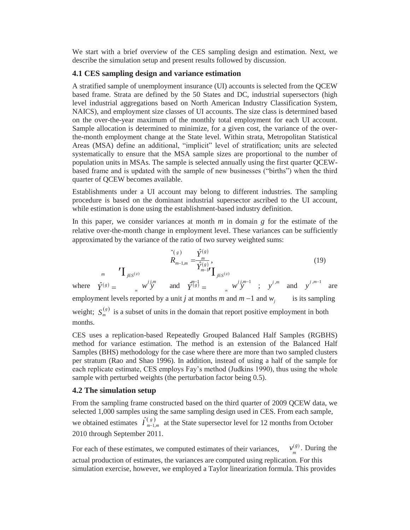We start with a brief overview of the CES sampling design and estimation. Next, we describe the simulation setup and present results followed by discussion.

# **4.1 CES sampling design and variance estimation**

A stratified sample of unemployment insurance (UI) accounts is selected from the QCEW based frame. Strata are defined by the 50 States and DC, industrial supersectors (high level industrial aggregations based on North American Industry Classification System, NAICS), and employment size classes of UI accounts. The size class is determined based on the over-the-year maximum of the monthly total employment for each UI account. Sample allocation is determined to minimize, for a given cost, the variance of the overthe-month employment change at the State level. Within strata, Metropolitan Statistical Areas (MSA) define an additional, "implicit" level of stratification; units are selected systematically to ensure that the MSA sample sizes are proportional to the number of population units in MSAs. The sample is selected annually using the first quarter QCEWbased frame and is updated with the sample of new businesses ("births") when the third quarter of QCEW becomes available.

Establishments under a UI account may belong to different industries. The sampling procedure is based on the dominant industrial supersector ascribed to the UI account, while estimation is done using the establishment-based industry definition.

In this paper, we consider variances at month *m* in domain *g* for the estimate of the relative over-the-month change in employment level. These variances can be sufficiently approximated by the variance of the ratio of two survey weighted sums:

$$
\hat{R}_{m-1,m} = \frac{\hat{Y}^{(g)}}{\hat{Y}^{(g)}_{m-1}} ,\tag{19}
$$

*m*  $\prod_{j \in S^{(g)}}$ *j j*,*m m***<sup>-1</sup></del>** where  $\hat{Y}^{(g)} = \sum_{m=1}^{m} w^{ij,m}_{y}$  and  $\hat{Y}^{m-1}_{(g)} = \sum_{m=1}^{m} w^{ij,m-1}_{y}$ ;  $y^{j,m}$  and  $y^{j,m-1}_{y}$  are employment levels reported by a unit *j* at months *m* and  $m-1$  and  $w_j$  is its sampling weight;  $S_m^{(s)}$  is a subset of units in the domain that report positive employment in both months.

CES uses a replication-based Repeatedly Grouped Balanced Half Samples (RGBHS) method for variance estimation. The method is an extension of the Balanced Half Samples (BHS) methodology for the case where there are more than two sampled clusters per stratum (Rao and Shao 1996). In addition, instead of using a half of the sample for each replicate estimate, CES employs Fay's method (Judkins 1990), thus using the whole sample with perturbed weights (the perturbation factor being 0.5).

# **4.2 The simulation setup**

From the sampling frame constructed based on the third quarter of 2009 QCEW data, we selected 1,000 samples using the same sampling design used in CES. From each sample, we obtained estimates  $\hat{I}_{m-1}^{(g)}$  $\hat{I}_{m-1,m}^{(g)}$  at the State supersector level for 12 months from October 2010 through September 2011.

For each of these estimates, we computed estimates of their variances,  $v_m^{(g)}$ . During the actual production of estimates, the variances are computed using replication. For this simulation exercise, however, we employed a Taylor linearization formula. This provides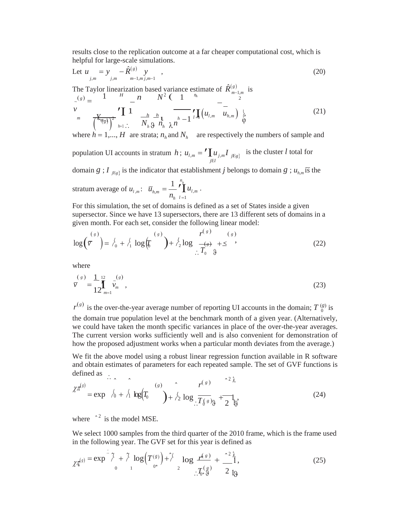results close to the replication outcome at a far cheaper computational cost, which is helpful for large-scale simulations.

Let 
$$
u_{j,m} = y_{j,m} - \hat{R}^{(g)}(y_{m-1,m,j,m-1})
$$
, (20)

The Taylor linearization based variance estimate of  $\hat{R}^{(g)}_{m-1,m}$  is  $\sigma_{\infty}(s) = \frac{1}{s} \frac{H}{s} \frac{1}{s} \frac{1}{s} \frac{1}{s} \frac{1}{s} \frac{1}{s}$ 

$$
\sum_{m} \frac{1}{\left(\frac{K_{\eta_{\mathcal{B}}}}{K_{\eta_{\mathcal{B}}}}\right)^{2}} \prod_{h=1}^{n} \frac{1}{N_{h} \mathfrak{g}} \frac{1}{n_{h}} \frac{1}{\lambda^{h}} \prod_{l=1}^{h} \left(u_{l,m} - u_{h,m}\right) \frac{1}{\phi}
$$
(21)

where  $h = 1,..., H$  are strata;  $n_h$  and  $N_h$  are respectively the numbers of sample and

population UI accounts in stratum *h*;  $u_{l,m} = \sum_{j \in I} u_{j,m} I_{j \in g}$ is the cluster *l* total for

domain *g* ; *I*<sub>*jg*<sub>*i*</sub></sub> is the indicator that establishment *j* belongs to domain *g* ;  $u_{h,m}$  is the

stratum average of  $u_{l,m}$ :  $\overline{u}_{h,m} = \frac{1}{l} \int_{l}^{h}$ 1 *h*,*m h*  $\prod_{l=1}^{n}$   $u_{l,m}$ .  $n_{h+l=1}$ 

For this simulation, the set of domains is defined as a set of States inside a given supersector. Since we have 13 supersectors, there are 13 different sets of domains in a given month. For each set, consider the following linear model:

$$
\log\left(\overline{v}^{(s)}\right) = \frac{1}{6} + \frac{1}{1} \log\left(\overline{v}^{(s)}\right) + \frac{1}{2} \log\left(\frac{r^{(s)}(s)}{r^{(s)}(s)}\right) + \frac{1}{2} \log\left(\frac{r^{(s)}(s)}{r^{(s)}(s)}\right) \tag{22}
$$

where

$$
\bar{v}^{(s)} = \frac{1}{12} \int_{m=1}^{12} \tilde{v}_m^{(s)},
$$
\n(23)

 $r^{(g)}$  is the over-the-year average number of reporting UI accounts in the domain;  $T^{(g)}_0$  is the domain true population level at the benchmark month of a given year. (Alternatively, we could have taken the month specific variances in place of the over-the-year averages. The current version works sufficiently well and is also convenient for demonstration of how the proposed adjustment works when a particular month deviates from the average.)

We fit the above model using a robust linear regression function available in R software and obtain estimates of parameters for each repeated sample. The set of GVF functions is defined as

$$
\chi^{\pi^{(s)}} = \exp \quad \hat{h} + \hat{h} \, \log(T_0 \quad \text{(s)} + \hat{h} \, \log(\frac{r^{(s)}}{T_0 s}) + \sum_{i=1}^{r^{(s)}} \frac{r^{(s)}}{T_0 s} + \frac{1}{r^{(s)}} \, \text{(24)}
$$

where  $\hat{ }^2$  is the model MSE.

We select 1000 samples from the third quarter of the 2010 frame, which is the frame used in the following year. The GVF set for this year is defined as

$$
\chi_{\mathcal{I}}^{(s)} = \exp\left(\frac{\gamma}{\delta} + \frac{\gamma}{\delta} \log\left(T^{(s)}_{0^*}\right) + \frac{\gamma}{\delta} \log\left(\frac{F^{(s)}}{2}\right) + \frac{\gamma^2 \lambda}{\delta^2 \delta^2} + \frac{\gamma^2 \lambda}{\delta^2 \delta^2},\tag{25}
$$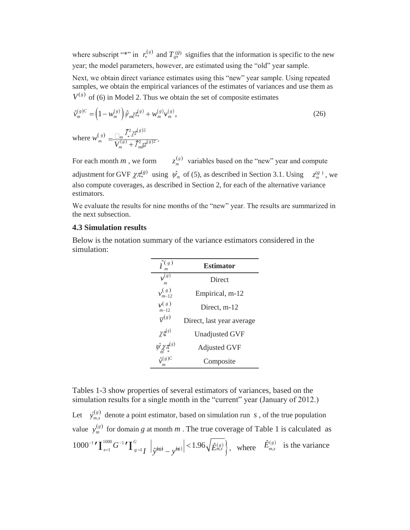where subscript "\*" in  $r_*^{(g)}$  and  $T_{0*}^{(g)}$  signifies that the information is specific to the new year; the model parameters, however, are estimated using the "old" year sample.

Next, we obtain direct variance estimates using this "new" year sample. Using repeated samples, we obtain the empirical variances of the estimates of variances and use them as  $V^{(g)}$  of (6) in Model 2. Thus we obtain the set of composite estimates

$$
\hat{\nu}_m^{(s)C} = \left(1 - \mathcal{W}_m^{(s)}\right) \hat{\psi}_m \chi_{*}^{(s)} + \mathcal{W}_m^{(s)} \nu_m^{(s)},
$$
\n
$$
\text{where } \mathcal{W}_m^{(s)} = \frac{\prod_m \chi_{*}^{2} \chi_{*}^{(s)2}}{V_m^{(s)} + \Gamma_m^{2} \chi_{*}^{(s)2}}.
$$
\n(26)

adjustment for GVF  $\chi \pi_*^{(g)}$  using  $\psi_m$  of (5), as described in Section 3.1. Using  $z_m^{(g)}$ , we For each month *m*, we form *m* variables based on the "new" year and compute *z* also compute coverages, as described in Section 2, for each of the alternative variance estimators.

We evaluate the results for nine months of the "new" year. The results are summarized in the next subsection.

#### **4.3 Simulation results**

Below is the notation summary of the variance estimators considered in the simulation:

| $\hat{I}^{(g)}$                               | <b>Estimator</b>          |
|-----------------------------------------------|---------------------------|
| $v^{(g)}$<br>m                                | Direct                    |
| $v_{m-12}^{(g)}$                              | Empirical, m-12           |
| v(s)<br>$m-12$                                | Direct, m-12              |
| $\overline{v}^{(g)}$                          | Direct, last year average |
| $\chi \tau_\ast^{(s)}$                        | <b>Unadjusted GVF</b>     |
| $\hat{\psi_{\mathcal{X}}}\mathcal{I}^{(s)}_*$ | <b>Adjusted GVF</b>       |
| $\hat{\mathcal{V}}(s)C$                       | Composite                 |

Tables 1-3 show properties of several estimators of variances, based on the simulation results for a single month in the "current" year (January of 2012.)

 $\left| \frac{1000^{-1}}{\prod_{s=1}^{1000} G^{-1}} \prod_{g=1}^{G} \left| \frac{1}{\hat{v}^{(gg)}} - \frac{1}{\hat{v}^{(g)}} \right| \right| \leq 1.96 \sqrt{\hat{E}^{(g)}_{m,s}}$ , where  $\hat{E}^{(g)}_{m,s}$ Let  $\hat{y}_{m,s}^{(g)}$ value  $y_m^{(g)}$  $y_{m,s}^{(g)}$  denote a point estimator, based on simulation run *s*, of the true population  $y_m^{(g)}$  for domain *g* at month *m*. The true coverage of Table 1 is calculated as  $\left| I \right| \int \hat{y}^{(g)} - y^{(g)} \Big| < 1.96 \sqrt{\hat{E}_{m,s}^{(g)}} \Big|, \text{ where } \hat{E}_{m,s}^{(g)} \text{ is the variance.}$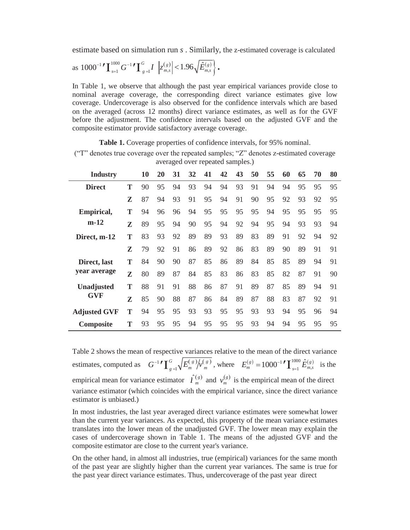estimate based on simulation run *s* . Similarly, the z-estimated coverage is calculated

as 
$$
1000^{-1}
$$
  $\mathbf{I}_{s=1}^{1000} G^{-1} \mathbf{I}_{g=1}^{G} I \left| z_{m,s}^{(g)} \right| < 1.96 \sqrt{\hat{E}_{m,s}^{(g)}}.$ 

In Table 1, we observe that although the past year empirical variances provide close to nominal average coverage, the corresponding direct variance estimates give low coverage. Undercoverage is also observed for the confidence intervals which are based on the averaged (across 12 months) direct variance estimates, as well as for the GVF before the adjustment. The confidence intervals based on the adjusted GVF and the composite estimator provide satisfactory average coverage.

**Table 1.** Coverage properties of confidence intervals, for 95% nominal.

("T" denotes true coverage over the repeated samples; "Z" denotes z-estimated coverage averaged over repeated samples.)

| Industry            |   | 10 | 20 | 31 | 32 | 41 | 42 | 43 | 50 | 55 | 60 | 65 | 70 | 80 |
|---------------------|---|----|----|----|----|----|----|----|----|----|----|----|----|----|
| <b>Direct</b>       | Т | 90 | 95 | 94 | 93 | 94 | 94 | 93 | 91 | 94 | 94 | 95 | 95 | 95 |
|                     | Z | 87 | 94 | 93 | 91 | 95 | 94 | 91 | 90 | 95 | 92 | 93 | 92 | 95 |
| Empirical,          | Т | 94 | 96 | 96 | 94 | 95 | 95 | 95 | 95 | 94 | 95 | 95 | 95 | 95 |
| $m-12$              | Z | 89 | 95 | 94 | 90 | 95 | 94 | 92 | 94 | 95 | 94 | 93 | 93 | 94 |
| Direct, m-12        | Т | 83 | 93 | 92 | 89 | 89 | 93 | 89 | 83 | 89 | 91 | 92 | 94 | 92 |
|                     | Z | 79 | 92 | 91 | 86 | 89 | 92 | 86 | 83 | 89 | 90 | 89 | 91 | 91 |
| Direct, last        | Т | 84 | 90 | 90 | 87 | 85 | 86 | 89 | 84 | 85 | 85 | 89 | 94 | 91 |
| year average        | Z | 80 | 89 | 87 | 84 | 85 | 83 | 86 | 83 | 85 | 82 | 87 | 91 | 90 |
| Unadjusted          | T | 88 | 91 | 91 | 88 | 86 | 87 | 91 | 89 | 87 | 85 | 89 | 94 | 91 |
| GVF                 | Z | 85 | 90 | 88 | 87 | 86 | 84 | 89 | 87 | 88 | 83 | 87 | 92 | 91 |
| <b>Adjusted GVF</b> | T | 94 | 95 | 95 | 93 | 93 | 95 | 95 | 93 | 93 | 94 | 95 | 96 | 94 |
| <b>Composite</b>    | T | 93 | 95 | 95 | 94 | 95 | 95 | 95 | 93 | 94 | 94 | 95 | 95 | 95 |

estimates, computed as  $G^{-1} \mathcal{F} \left[ \frac{G}{g=1} \sqrt{E_m^{(g)}/v_m^{(g)}} \right]$ , where  $E_m^{(g)} = 1000^{-1} \mathcal{F} \left[ \frac{1000}{g=1} \hat{E}_{m,s}^{(g)} \right]$  is the Table 2 shows the mean of respective variances relative to the mean of the direct variance empirical mean for variance estimator  $\hat{\Gamma}_m^{(g)}$  $\hat{I}_m^{(g)}$  and  $v_m^{(g)}$  is the empirical mean of the direct variance estimator (which coincides with the empirical variance, since the direct variance estimator is unbiased.) *m m*

In most industries, the last year averaged direct variance estimates were somewhat lower than the current year variances. As expected, this property of the mean variance estimates translates into the lower mean of the unadjusted GVF. The lower mean may explain the cases of undercoverage shown in Table 1. The means of the adjusted GVF and the composite estimator are close to the current year's variance.

On the other hand, in almost all industries, true (empirical) variances for the same month of the past year are slightly higher than the current year variances. The same is true for the past year direct variance estimates. Thus, undercoverage of the past year direct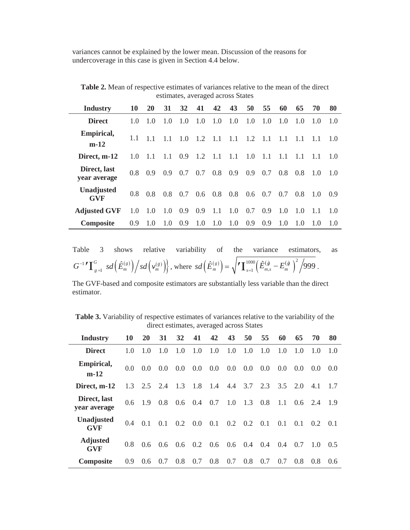variances cannot be explained by the lower mean. Discussion of the reasons for undercoverage in this case is given in Section 4.4 below.

**Table 2.** Mean of respective estimates of variances relative to the mean of the direct estimates, averaged across States

| Industry                     | 10  | <b>20</b> | 31            | 32  | 41  | 42   | 43  | 50  | 55  | 60  | 65  | 70  | 80  |
|------------------------------|-----|-----------|---------------|-----|-----|------|-----|-----|-----|-----|-----|-----|-----|
| <b>Direct</b>                | 1.0 | 1.0       | $1.0^{\circ}$ | 1.0 | 1.0 | 1.0  | 1.0 | 1.0 | 1.0 | 1.0 | 1.0 | 1.0 | 1.0 |
| <b>Empirical,</b><br>$m-12$  | 1.1 | $1\;1$    |               | 10  | 12  | 11   | 11  | 1.2 | 11  | 11  | 1.1 | 1.1 | 1.0 |
| Direct, m-12                 | 1.0 | 1.1       | 1.1           | 0.9 | 1.2 | -1.1 | 1.1 | 1.0 | 1.1 |     | 1.1 | 1.1 | 1.0 |
| Direct, last<br>year average | 0.8 | 0.9       | 0.9           | 0.7 | 0.7 | 0.8  | 0.9 | 0.9 | 0.7 | 0.8 | 0.8 | 1.0 | 1.0 |
| Unadjusted<br><b>GVF</b>     | 0.8 | 0.8       | 0.8           | 0.7 | 0.6 | 0.8  | 0.8 | 0.6 | 0.7 | 0.7 | 0.8 | 1.0 | 0.9 |
| <b>Adjusted GVF</b>          | 1.0 | 1.0       | 1.0           | 0.9 | 0.9 | -1.1 | 1.0 | 0.7 | 0.9 | 1.0 | 1.0 | 1.1 | 1.0 |
| <b>Composite</b>             | 0.9 | 1.0       | 1.0           | 0.9 | 1.0 | 1.0  | 1.0 | 0.9 | 0.9 | 1.0 | 1.0 | 1.0 | 1.0 |

Table 3 shows relative variability of the variance estimators, as  
\n
$$
G^{-1} \mathbf{I}_{g=1}^G sd\left(\hat{E}_m^{(g)}\right)/sd\left(\nu_m^{(g)}\right), \text{ where } sd\left(\hat{E}_m^{(g)}\right) = \sqrt{\mathbf{I}_{g=1}^{1000}\left(\hat{E}_{m,s}^{(g)} - E_m^{(g)}\right)^2/999}.
$$

The GVF-based and composite estimators are substantially less variable than the direct estimator.

**Table 3.** Variability of respective estimates of variances relative to the variability of the direct estimates, averaged across States

| Industry                        | 10            | <b>20</b>         | <b>31</b> | 32            | 41  | 42  | 43              | 50  | 55  | 60  | 65            | 70  | 80            |
|---------------------------------|---------------|-------------------|-----------|---------------|-----|-----|-----------------|-----|-----|-----|---------------|-----|---------------|
| <b>Direct</b>                   | 1.0           | 1.0               | 1.0       | 1.0           | 1.0 | 1.0 | 1.0             | 1.0 | 1.0 | 1.0 | 1.0           | 1.0 | 1.0           |
| Empirical,<br>$m-12$            | 0.0           | 0.0               | 0.0       | 0.0           | 0.0 | 0.0 | 0.0             | 0.0 | 0.0 | 0.0 | 0.0           | 0.0 | (0.0)         |
| Direct. m-12                    |               | $1.3$ $2.5$ $2.4$ |           | 1.3           | 1.8 | 1.4 | 4.4             | 3.7 | 2.3 | 3.5 | 2.0           | 4.1 | 1.7           |
| Direct, last<br>vear average    | $0.6^{\circ}$ | 19                | 0.8       | $0.6^{\circ}$ | 0.4 | 0.7 | 1.0             | 1.3 | 0.8 | 1.1 | $0.6^{\circ}$ | 2.4 | -1.9          |
| <b>Unadjusted</b><br><b>GVF</b> | 0.4           | 0.1               | 0.1       | 0.2           | 0.0 | 0.1 | $0.2 \quad 0.2$ |     | 0.1 | 0.1 | 0.1           | 0.2 | 0.1           |
| <b>Adjusted</b><br><b>GVF</b>   | 0.8           | $0.6^{\circ}$     | 0.6       | $0.6^{\circ}$ | 0.2 | 0.6 | $0.6\,$         | 0.4 | 0.4 | 0.4 | 0.7           | 1.0 | 0.5           |
| <b>Composite</b>                | 0.9           | 0.6               | 0.7       | 0.8           | 0.7 | 0.8 | 0.7             | 0.8 | 0.7 | 0.7 | 0.8           | 0.8 | $0.6^{\circ}$ |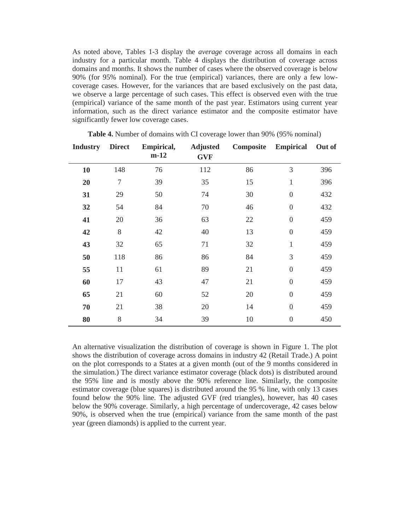As noted above, Tables 1-3 display the *average* coverage across all domains in each industry for a particular month. Table 4 displays the distribution of coverage across domains and months. It shows the number of cases where the observed coverage is below 90% (for 95% nominal). For the true (empirical) variances, there are only a few lowcoverage cases. However, for the variances that are based exclusively on the past data, we observe a large percentage of such cases. This effect is observed even with the true (empirical) variance of the same month of the past year. Estimators using current year information, such as the direct variance estimator and the composite estimator have significantly fewer low coverage cases.

| <b>Industry</b> | <b>Direct</b>  | Empirical,<br>$m-12$ | <b>Adjusted</b><br><b>GVF</b> | Composite | <b>Empirical</b> | Out of |
|-----------------|----------------|----------------------|-------------------------------|-----------|------------------|--------|
| 10              | 148            | 76                   | 112                           | 86        | 3                | 396    |
| 20              | $\overline{7}$ | 39                   | 35                            | 15        | $\mathbf{1}$     | 396    |
| 31              | 29             | 50                   | 74                            | 30        | $\boldsymbol{0}$ | 432    |
| 32              | 54             | 84                   | 70                            | 46        | $\boldsymbol{0}$ | 432    |
| 41              | 20             | 36                   | 63                            | 22        | $\boldsymbol{0}$ | 459    |
| 42              | 8              | 42                   | 40                            | 13        | $\boldsymbol{0}$ | 459    |
| 43              | 32             | 65                   | 71                            | 32        | $\mathbf{1}$     | 459    |
| 50              | 118            | 86                   | 86                            | 84        | 3                | 459    |
| 55              | 11             | 61                   | 89                            | 21        | $\boldsymbol{0}$ | 459    |
| 60              | 17             | 43                   | 47                            | 21        | $\overline{0}$   | 459    |
| 65              | 21             | 60                   | 52                            | 20        | $\boldsymbol{0}$ | 459    |
| 70              | 21             | 38                   | 20                            | 14        | $\boldsymbol{0}$ | 459    |
| 80              | 8              | 34                   | 39                            | 10        | $\boldsymbol{0}$ | 450    |

**Table 4.** Number of domains with CI coverage lower than 90% (95% nominal)

An alternative visualization the distribution of coverage is shown in Figure 1. The plot shows the distribution of coverage across domains in industry 42 (Retail Trade.) A point on the plot corresponds to a States at a given month (out of the 9 months considered in the simulation.) The direct variance estimator coverage (black dots) is distributed around the 95% line and is mostly above the 90% reference line. Similarly, the composite estimator coverage (blue squares) is distributed around the 95 % line, with only 13 cases found below the 90% line. The adjusted GVF (red triangles), however, has 40 cases below the 90% coverage. Similarly, a high percentage of undercoverage, 42 cases below 90%, is observed when the true (empirical) variance from the same month of the past year (green diamonds) is applied to the current year.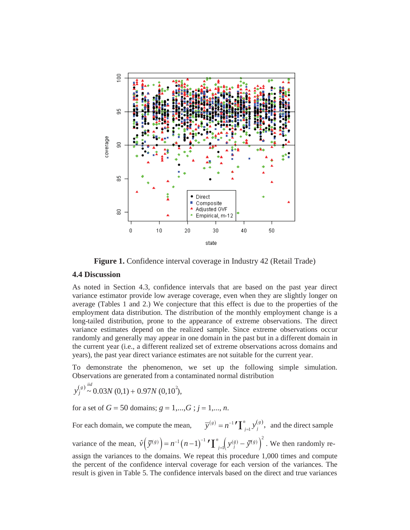

**Figure 1.** Confidence interval coverage in Industry 42 (Retail Trade)

#### **4.4 Discussion**

As noted in Section 4.3, confidence intervals that are based on the past year direct variance estimator provide low average coverage, even when they are slightly longer on average (Tables 1 and 2.) We conjecture that this effect is due to the properties of the employment data distribution. The distribution of the monthly employment change is a long-tailed distribution, prone to the appearance of extreme observations. The direct variance estimates depend on the realized sample. Since extreme observations occur randomly and generally may appear in one domain in the past but in a different domain in the current year (i.e., a different realized set of extreme observations across domains and years), the past year direct variance estimates are not suitable for the current year.

To demonstrate the phenomenon, we set up the following simple simulation. Observations are generated from a contaminated normal distribution

$$
y_j^{(s)} \sim 0.03N(0,1) + 0.97N(0,10^2),
$$

for a set of  $G = 50$  domains;  $g = 1,...,G$ ;  $j = 1,..., n$ .

 $g(x) = n^{-1} \sum_{j=1}^{n} y_j^{(g)}$ , and the direct sample variance of the mean,  $\hat{v}(\bar{y}^{(g)}) = n^{-1}(n-1)^{-1} \sum_{j=1}^{n} (y_j^{(g)} - \bar{y}^{(g)})^2$ . We then randomly re-For each domain, we compute the mean, assign the variances to the domains. We repeat this procedure 1,000 times and compute

the percent of the confidence interval coverage for each version of the variances. The result is given in Table 5. The confidence intervals based on the direct and true variances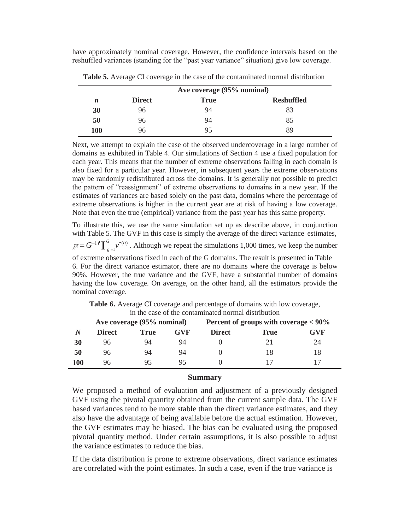have approximately nominal coverage. However, the confidence intervals based on the reshuffled variances (standing for the "past year variance" situation) give low coverage.

|            | Ave coverage (95% nominal) |      |                   |  |  |  |  |  |
|------------|----------------------------|------|-------------------|--|--|--|--|--|
| n          | <b>Direct</b>              | True | <b>Reshuffled</b> |  |  |  |  |  |
| 30         | 96                         | 94   | 83                |  |  |  |  |  |
| 50         | 96                         | 94   | 85                |  |  |  |  |  |
| <b>100</b> | 96                         | 95   | 89                |  |  |  |  |  |

**Table 5.** Average CI coverage in the case of the contaminated normal distribution

Next, we attempt to explain the case of the observed undercoverage in a large number of domains as exhibited in Table 4. Our simulations of Section 4 use a fixed population for each year. This means that the number of extreme observations falling in each domain is also fixed for a particular year. However, in subsequent years the extreme observations may be randomly redistributed across the domains. It is generally not possible to predict the pattern of "reassignment" of extreme observations to domains in a new year. If the estimates of variances are based solely on the past data, domains where the percentage of extreme observations is higher in the current year are at risk of having a low coverage. Note that even the true (empirical) variance from the past year has this same property.

 $\chi \pi = G^{-1} \int_{g=1}^{G} v^{(g)}$ . Although we repeat the simulations 1,000 times, we keep the number To illustrate this, we use the same simulation set up as describe above, in conjunction with Table 5. The GVF in this case is simply the average of the direct variance estimates, of extreme observations fixed in each of the G domains. The result is presented in Table 6. For the direct variance estimator, there are no domains where the coverage is below 90%. However, the true variance and the GVF, have a substantial number of domains having the low coverage. On average, on the other hand, all the estimators provide the nominal coverage.

|     | III UIC CASC OF UIC COINAHIINAICU IIOHIIAI UISUTUUUOIT |                            |            |                                          |      |     |  |  |  |  |  |
|-----|--------------------------------------------------------|----------------------------|------------|------------------------------------------|------|-----|--|--|--|--|--|
|     |                                                        | Ave coverage (95% nominal) |            | Percent of groups with coverage $< 90\%$ |      |     |  |  |  |  |  |
|     | <b>Direct</b>                                          | <b>True</b>                | <b>GVF</b> | <b>Direct</b>                            | True | GVF |  |  |  |  |  |
| 30  | 96                                                     | 94                         | 94         |                                          |      | 24  |  |  |  |  |  |
| 50  | 96                                                     | 94                         | 94         |                                          | 18   |     |  |  |  |  |  |
| 100 | 96                                                     | 95                         | 95         |                                          |      |     |  |  |  |  |  |

**Table 6.** Average CI coverage and percentage of domains with low coverage, in the case of the contaminated normal distribution

## **Summary**

We proposed a method of evaluation and adjustment of a previously designed GVF using the pivotal quantity obtained from the current sample data. The GVF based variances tend to be more stable than the direct variance estimates, and they also have the advantage of being available before the actual estimation. However, the GVF estimates may be biased. The bias can be evaluated using the proposed pivotal quantity method. Under certain assumptions, it is also possible to adjust the variance estimates to reduce the bias.

If the data distribution is prone to extreme observations, direct variance estimates are correlated with the point estimates. In such a case, even if the true variance is